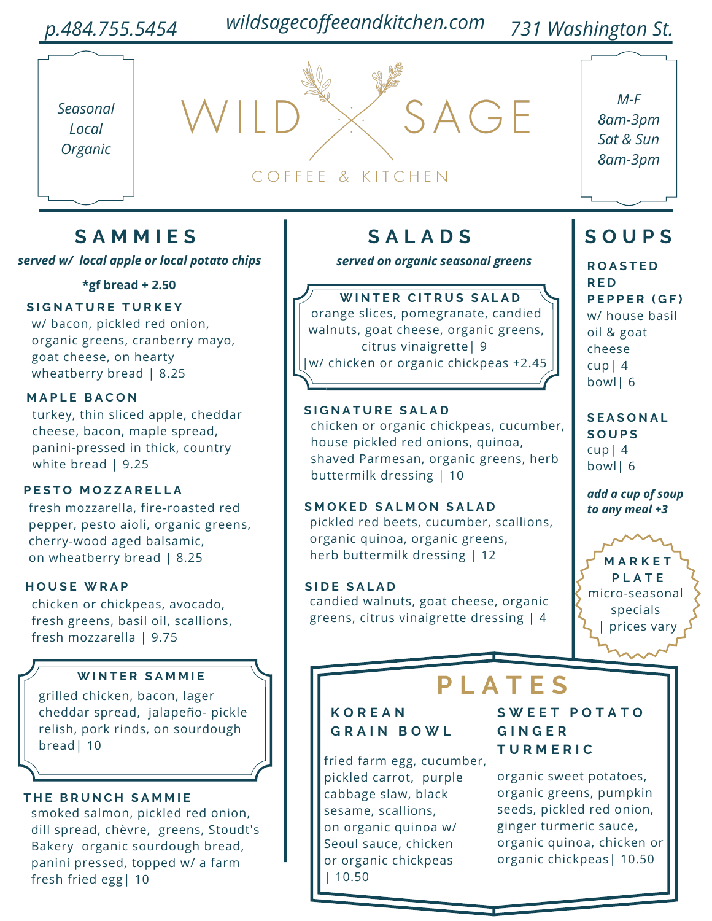#### *p.484.755.5454 731 Washington St. wildsagecoffeeandkitchen.com*



# COFFEE & KITCHEN

*M-F 8am-3pm Sat & Sun 8am-3pm*

### **S A M M I E S**

*served w/ local apple or local potato chips served on organic seasonal greens*

**\*gf bread + 2.50**

#### **S I G N A T U R E T U R K E Y**

w/ bacon, pickled red onion, organic greens, cranberry mayo, goat cheese, on hearty wheatberry bread | 8.25

#### **M A P L E B A C O N**

turkey, thin sliced apple, cheddar cheese, bacon, maple spread, panini-pressed in thick, country white bread | 9.25

#### **P E S T O M O Z Z A R E L L A**

fresh mozzarella, fire-roasted red pepper, pesto aioli, organic greens, cherry-wood aged balsamic, on wheatberry bread | 8.25

#### **H O U S E W R A P**

chicken or chickpeas, avocado, fresh greens, basil oil, scallions, fresh mozzarella | 9.75

#### **W I N T E R S A M M I E**

grilled chicken, bacon, lager cheddar spread, jalapeño- pickle relish, pork rinds, on sourdough bread| 10

#### $THE$  **BRUNCH SAMMIE**

smoked salmon, pickled red onion, dill spread, chèvre, greens, Stoudt's Bakery organic sourdough bread, panini pressed, topped w/ a farm fresh fried egg| 10

### **S A L A D S S O U P S**

SAGE

**W I N T E R C I T R U S S A L A D** orange slices, pomegranate, candied walnuts, goat cheese, organic greens, citrus vinaigrette| 9 |w/ chicken or organic chickpeas +2.45

#### $S$ *IGNATURE SALAD*

chicken or organic chickpeas, cucumber, house pickled red onions, quinoa, shaved Parmesan, organic greens, herb buttermilk dressing | 10

 $M$  **SMOKED SALMON SALAD** pickled red beets, cucumber, scallions, organic quinoa, organic greens, herb buttermilk dressing | 12

 $S$ *IDE SALAD* candied walnuts, goat cheese, organic greens, citrus vinaigrette dressing | 4

**R O A S T E D R E D P E P P E R ( G F )** w/ house basil oil & goat cheese cup| 4 bowl| 6

**S E A S O N A L S O U P S** cup| 4 bowl| 6

*add a cup of soup to any meal +3*

**M A R K E T P L A T E** micro-seasonal specials prices vary

## **P L A T E S**

#### **K O R E A N G R A I N B O W L**

fried farm egg, cucumber, pickled carrot, purple cabbage slaw, black sesame, scallions, on organic quinoa w/ Seoul sauce, chicken or organic chickpeas | 10.50

**S W E E T P O T A T O G I N G E R T U R M E R I C**

organic sweet potatoes, organic greens, pumpkin seeds, pickled red onion, ginger turmeric sauce, organic quinoa, chicken or organic chickpeas| 10.50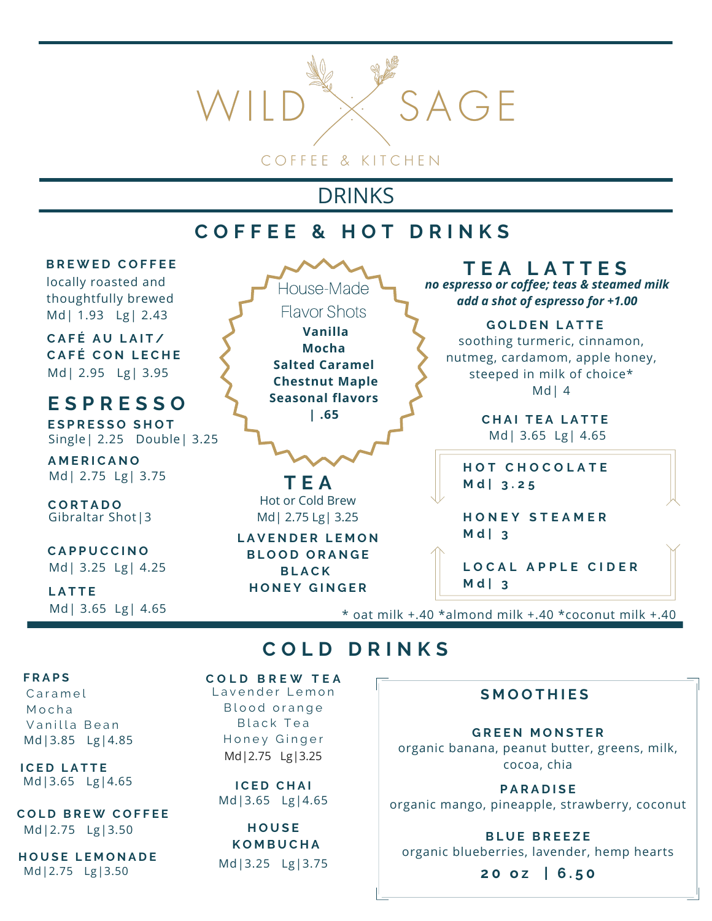

## DRINKS

### **C O F F E E & H O T D R I N K S**



\* oat milk +.40 \*almond milk +.40 \*coconut milk +.40

### **C O L D D R I N K S**

#### **F R A P S**

Md|3.85 Lg|4.85 C a r a m e l M o c h a Vanilla Bean

**I C E D L A T T E** Md|3.65 Lg|4.65 **I C E D C H A I**

**C O L D B R E W C O F F E E** Md|2.75 Lg|3.50

**H O U S E L E M O N A D E** Md|2.75 Lg|3.50

Md|2.75 Lg|3.25 **C O L D B R E W T E A** Lavender Lemon Blood orange Black Tea Honey Ginger

Md|3.65 Lg|4.65

**H O U S E K O M B U C H A** Md|3.25 Lg|3.75

#### **S M O O T H I E S**

organic banana, peanut butter, greens, milk, cocoa, chia **G R E E N M O N S T E R**

**P A R A D I S E** organic mango, pineapple, strawberry, coconut

**B L U E B R E E Z E** organic blueberries, lavender, hemp hearts

**2 0 o z | 6 . 5 0**